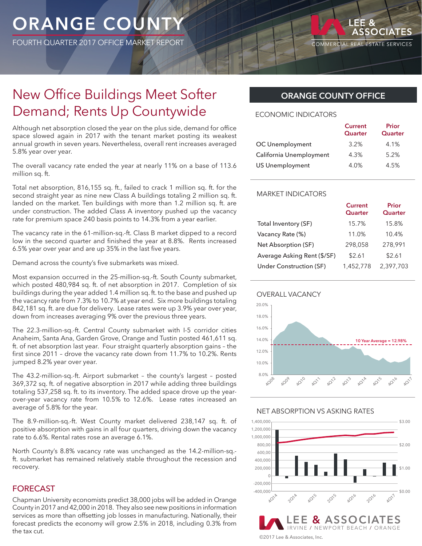# ORANGE COUNT

FOURTH QUARTER 2017 OFFICE MARKET REPORT

LEE &

# New Office Buildings Meet Softer Demand; Rents Up Countywide

Although net absorption closed the year on the plus side, demand for office space slowed again in 2017 with the tenant market posting its weakest annual growth in seven years. Nevertheless, overall rent increases averaged 5.8% year over year.

The overall vacancy rate ended the year at nearly 11% on a base of 113.6 million sq. ft.

Total net absorption, 816,155 sq. ft., failed to crack 1 million sq. ft. for the second straight year as nine new Class A buildings totaling 2 million sq. ft. landed on the market. Ten buildings with more than 1.2 million sq. ft. are under construction. The added Class A inventory pushed up the vacancy rate for premium space 240 basis points to 14.3% from a year earlier.

The vacancy rate in the 61-million-sq.-ft. Class B market dipped to a record low in the second quarter and finished the year at 8.8%. Rents increased 6.5% year over year and are up 35% in the last five years.

Demand across the county's five submarkets was mixed.

Most expansion occurred in the 25-million-sq.-ft. South County submarket, which posted 480,984 sq. ft. of net absorption in 2017. Completion of six buildings during the year added 1.4 million sq. ft. to the base and pushed up the vacancy rate from 7.3% to 10.7% at year end. Six more buildings totaling 842,181 sq. ft. are due for delivery. Lease rates were up 3.9% year over year, down from increases averaging 9% over the previous three years.

The 22.3-million-sq.-ft. Central County submarket with I-5 corridor cities Anaheim, Santa Ana, Garden Grove, Orange and Tustin posted 461,611 sq. ft. of net absorption last year. Four straight quarterly absorption gains – the first since 2011 – drove the vacancy rate down from 11.7% to 10.2%. Rents jumped 8.2% year over year.

The 43.2-million-sq.-ft. Airport submarket – the county's largest – posted 369,372 sq. ft. of negative absorption in 2017 while adding three buildings totaling 537,258 sq. ft. to its inventory. The added space drove up the yearover-year vacancy rate from 10.5% to 12.6%. Lease rates increased an average of 5.8% for the year.

The 8.9-million-sq.-ft. West County market delivered 238,147 sq. ft. of positive absorption with gains in all four quarters, driving down the vacancy rate to 6.6%. Rental rates rose an average 6.1%.

North County's 8.8% vacancy rate was unchanged as the 14.2-million-sq. ft. submarket has remained relatively stable throughout the recession and recovery.

# FORECAST

Chapman University economists predict 38,000 jobs will be added in Orange County in 2017 and 42,000 in 2018. They also see new positions in information services as more than offsetting job losses in manufacturing. Nationally, their forecast predicts the economy will grow 2.5% in 2018, including 0.3% from the tax cut.

# **ORANGE COUNTY OFFICE**

#### ECONOMIC INDICATORS

|                         | <b>Current</b><br>Quarter | Prior<br>Quarter |
|-------------------------|---------------------------|------------------|
| OC Unemployment         | 3.2%                      | 4.1%             |
| California Unemployment | 4.3%                      | 5.2%             |
| <b>US Unemployment</b>  | 4.0%                      | 4.5%             |

### MARKET INDICATORS

|                             | <b>Current</b><br>Quarter | Prior<br>Quarter |
|-----------------------------|---------------------------|------------------|
| Total Inventory (SF)        | 15.7%                     | 15.8%            |
| Vacancy Rate (%)            | 11.0%                     | 10.4%            |
| Net Absorption (SF)         | 298,058                   | 278,991          |
| Average Asking Rent (\$/SF) | \$2.61                    | \$2.61           |
| Under Construction (SF)     | 1,452,778                 | 2,397,703        |





#### NET ABSORPTION VS ASKING RATES